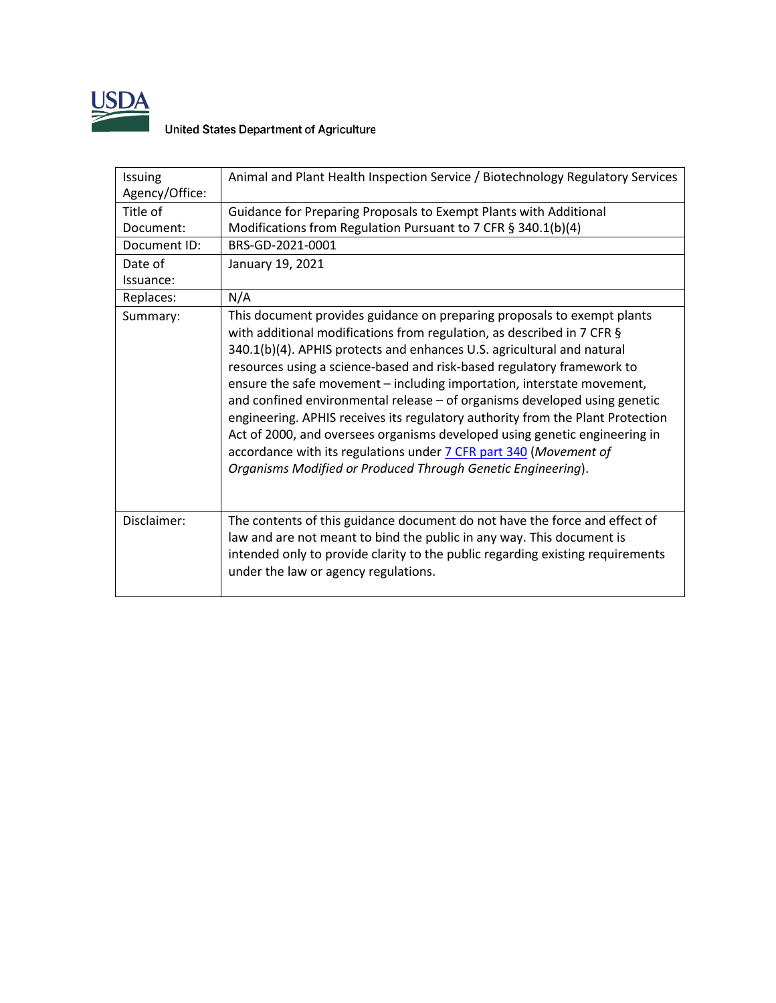

### United States Department of Agriculture

| Issuing<br>Agency/Office: | Animal and Plant Health Inspection Service / Biotechnology Regulatory Services                                                                                                                                                                                                                                                                                                                                                                                                                                                                                                                                                                                                                                                                                    |  |  |  |  |
|---------------------------|-------------------------------------------------------------------------------------------------------------------------------------------------------------------------------------------------------------------------------------------------------------------------------------------------------------------------------------------------------------------------------------------------------------------------------------------------------------------------------------------------------------------------------------------------------------------------------------------------------------------------------------------------------------------------------------------------------------------------------------------------------------------|--|--|--|--|
| Title of<br>Document:     | Guidance for Preparing Proposals to Exempt Plants with Additional<br>Modifications from Regulation Pursuant to 7 CFR § 340.1(b)(4)                                                                                                                                                                                                                                                                                                                                                                                                                                                                                                                                                                                                                                |  |  |  |  |
| Document ID:              | BRS-GD-2021-0001                                                                                                                                                                                                                                                                                                                                                                                                                                                                                                                                                                                                                                                                                                                                                  |  |  |  |  |
| Date of<br>Issuance:      | January 19, 2021                                                                                                                                                                                                                                                                                                                                                                                                                                                                                                                                                                                                                                                                                                                                                  |  |  |  |  |
| Replaces:                 | N/A                                                                                                                                                                                                                                                                                                                                                                                                                                                                                                                                                                                                                                                                                                                                                               |  |  |  |  |
| Summary:                  | This document provides guidance on preparing proposals to exempt plants<br>with additional modifications from regulation, as described in 7 CFR §<br>340.1(b)(4). APHIS protects and enhances U.S. agricultural and natural<br>resources using a science-based and risk-based regulatory framework to<br>ensure the safe movement – including importation, interstate movement,<br>and confined environmental release – of organisms developed using genetic<br>engineering. APHIS receives its regulatory authority from the Plant Protection<br>Act of 2000, and oversees organisms developed using genetic engineering in<br>accordance with its regulations under 7 CFR part 340 (Movement of<br>Organisms Modified or Produced Through Genetic Engineering). |  |  |  |  |
| Disclaimer:               | The contents of this guidance document do not have the force and effect of<br>law and are not meant to bind the public in any way. This document is<br>intended only to provide clarity to the public regarding existing requirements<br>under the law or agency regulations.                                                                                                                                                                                                                                                                                                                                                                                                                                                                                     |  |  |  |  |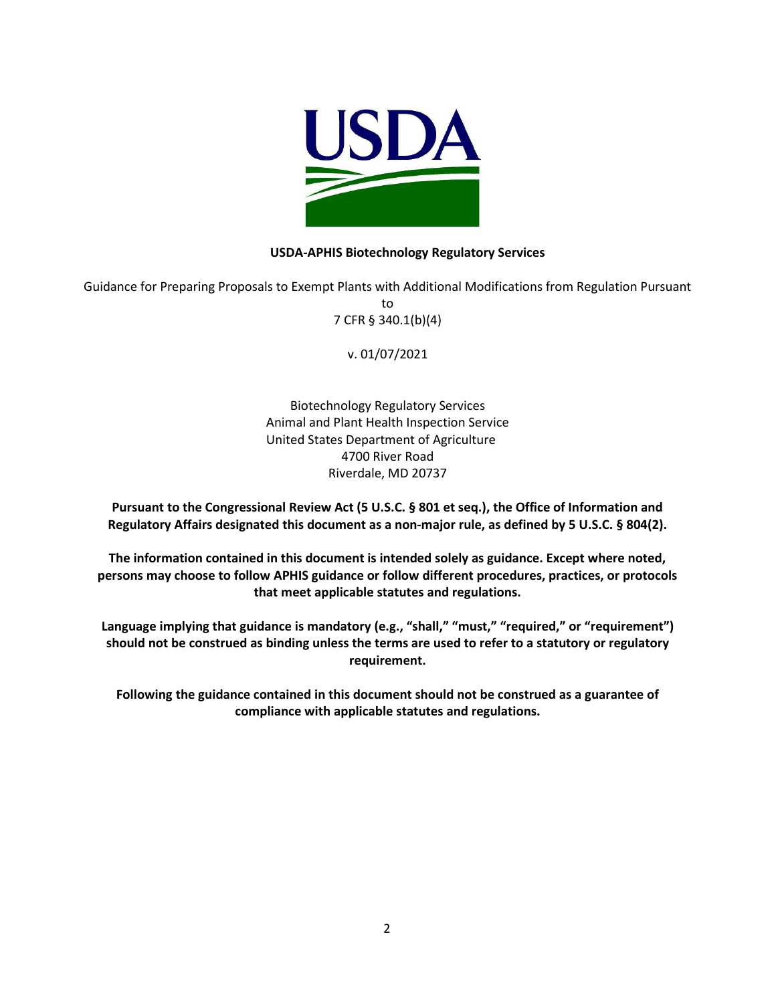

#### **USDA-APHIS Biotechnology Regulatory Services**

Guidance for Preparing Proposals to Exempt Plants with Additional Modifications from Regulation Pursuant

to 7 CFR § 340.1(b)(4)

v. 01/07/2021

Biotechnology Regulatory Services Animal and Plant Health Inspection Service United States Department of Agriculture 4700 River Road Riverdale, MD 20737

**Pursuant to the Congressional Review Act (5 U.S.C. § 801 et seq.), the Office of Information and Regulatory Affairs designated this document as a non-major rule, as defined by 5 U.S.C. § 804(2).**

**The information contained in this document is intended solely as guidance. Except where noted, persons may choose to follow APHIS guidance or follow different procedures, practices, or protocols that meet applicable statutes and regulations.**

**Language implying that guidance is mandatory (e.g., "shall," "must," "required," or "requirement") should not be construed as binding unless the terms are used to refer to a statutory or regulatory requirement.**

**Following the guidance contained in this document should not be construed as a guarantee of compliance with applicable statutes and regulations.**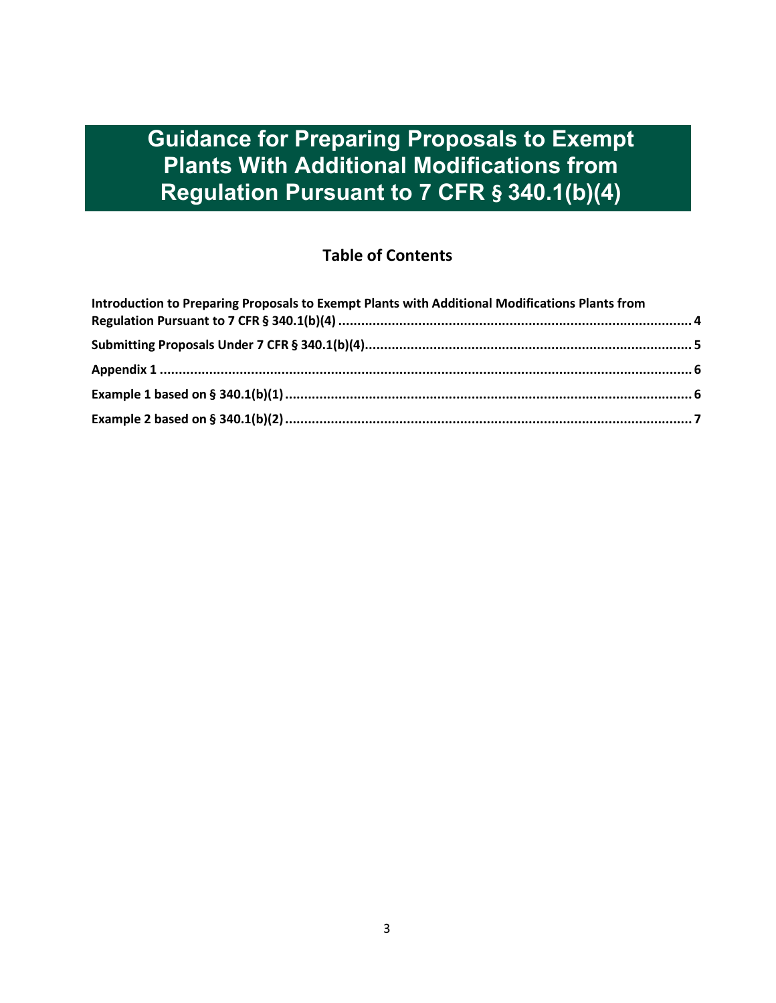# **Guidance for Preparing Proposals to Exempt Plants With Additional Modifications from Regulation Pursuant to 7 CFR § 340.1(b)(4)**

### **Table of Contents**

| Introduction to Preparing Proposals to Exempt Plants with Additional Modifications Plants from |  |
|------------------------------------------------------------------------------------------------|--|
|                                                                                                |  |
|                                                                                                |  |
|                                                                                                |  |
|                                                                                                |  |
|                                                                                                |  |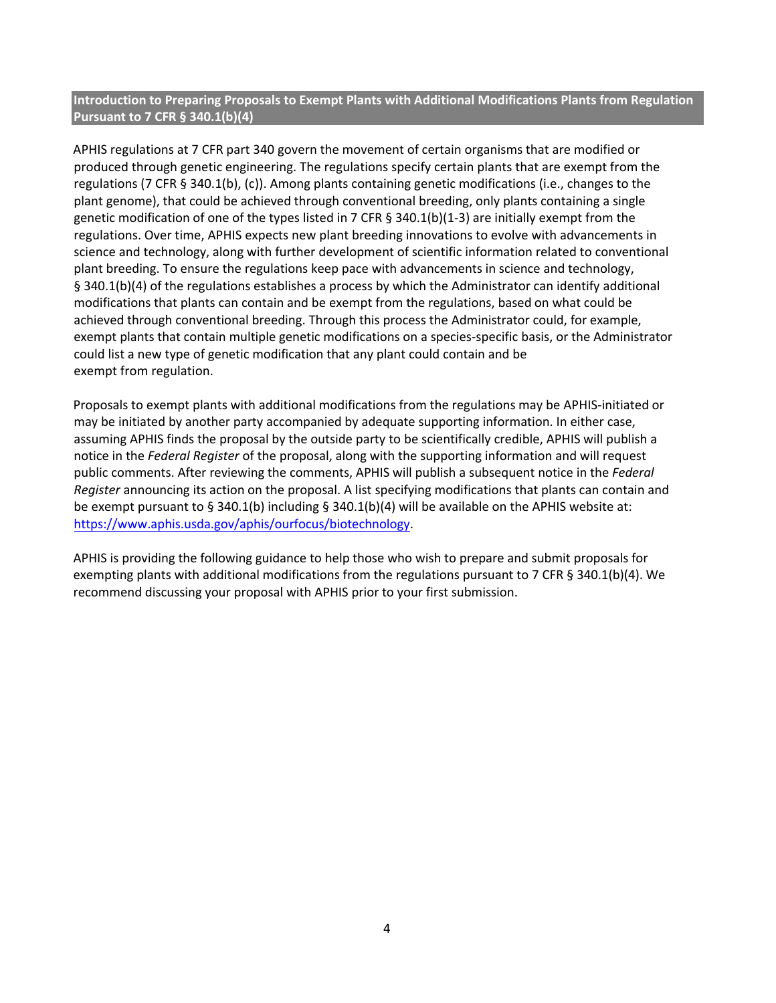#### <span id="page-3-0"></span>**Introduction to Preparing Proposals to Exempt Plants with Additional Modifications Plants from Regulation Pursuant to 7 CFR § 340.1(b)(4)**

APHIS regulations at 7 CFR part 340 govern the movement of certain organisms that are modified or produced through genetic engineering. The regulations specify certain plants that are exempt from the regulations (7 CFR § 340.1(b), (c)). Among plants containing genetic modifications (i.e., changes to the plant genome), that could be achieved through conventional breeding, only plants containing a single genetic modification of one of the types listed in 7 CFR § 340.1(b)(1-3) are initially exempt from the regulations. Over time, APHIS expects new plant breeding innovations to evolve with advancements in science and technology, along with further development of scientific information related to conventional plant breeding. To ensure the regulations keep pace with advancements in science and technology, § 340.1(b)(4) of the regulations establishes a process by which the Administrator can identify additional modifications that plants can contain and be exempt from the regulations, based on what could be achieved through conventional breeding. Through this process the Administrator could, for example, exempt plants that contain multiple genetic modifications on a species-specific basis, or the Administrator could list a new type of genetic modification that any plant could contain and be exempt from regulation.

Proposals to exempt plants with additional modifications from the regulations may be APHIS-initiated or may be initiated by another party accompanied by adequate supporting information. In either case, assuming APHIS finds the proposal by the outside party to be scientifically credible, APHIS will publish a notice in the *Federal Register* of the proposal, along with the supporting information and will request public comments. After reviewing the comments, APHIS will publish a subsequent notice in the *Federal Register* announcing its action on the proposal. A list specifying modifications that plants can contain and be exempt pursuant to § 340.1(b) including § 340.1(b)(4) will be available on the APHIS website at: [https://www.aphis.usda.gov/aphis/ourfocus/biotechnology.](https://www.aphis.usda.gov/aphis/ourfocus/biotechnology) 

APHIS is providing the following guidance to help those who wish to prepare and submit proposals for exempting plants with additional modifications from the regulations pursuant to 7 CFR § 340.1(b)(4). We recommend discussing your proposal with APHIS prior to your first submission.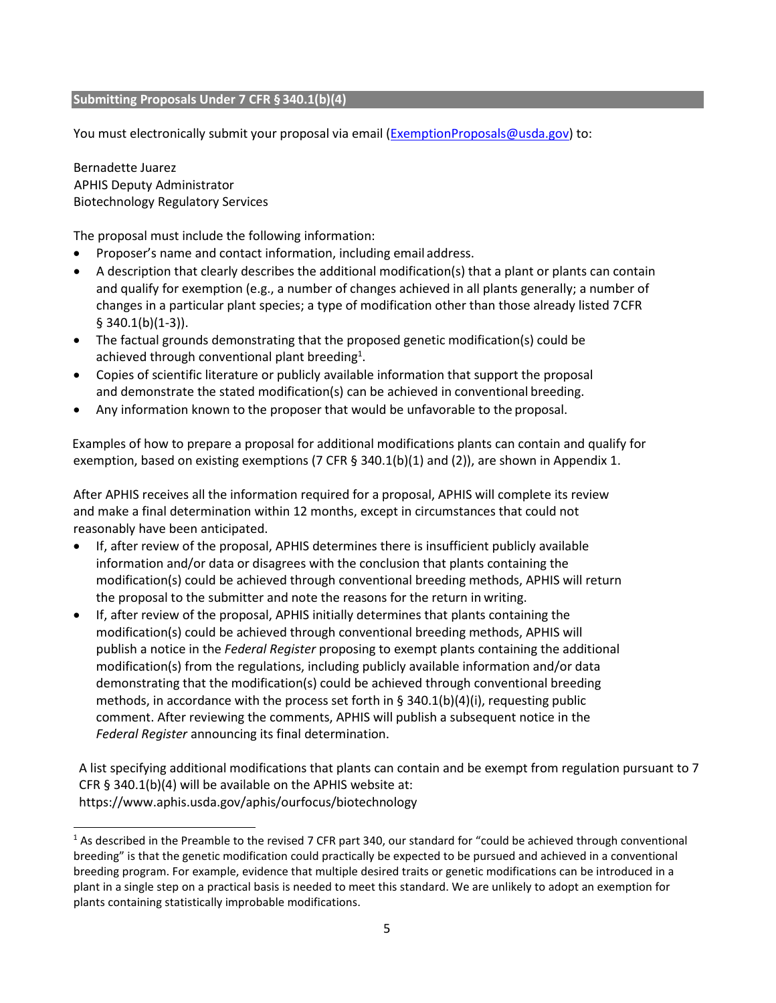#### <span id="page-4-0"></span>**Submitting Proposals Under 7 CFR § 340.1(b)(4)**

You must electronically submit your proposal via email [\(ExemptionProposals@usda.gov\)](mailto:ExemptionProposals@usda.gov) to:

Bernadette Juarez APHIS Deputy Administrator Biotechnology Regulatory Services

The proposal must include the following information:

- Proposer's name and contact information, including email address.
- A description that clearly describes the additional modification(s) that a plant or plants can contain and qualify for exemption (e.g., a number of changes achieved in all plants generally; a number of changes in a particular plant species; a type of modification other than those already listed 7CFR  $§$  340.1(b)(1-3)).
- The factual grounds demonstrating that the proposed genetic modification(s) could be achieved through conventional plant breeding<sup>1</sup>.
- Copies of scientific literature or publicly available information that support the proposal and demonstrate the stated modification(s) can be achieved in conventional breeding.
- Any information known to the proposer that would be unfavorable to the proposal.

Examples of how to prepare a proposal for additional modifications plants can contain and qualify for exemption, based on existing exemptions (7 CFR § 340.1(b)(1) and (2)), are shown in Appendix 1.

After APHIS receives all the information required for a proposal, APHIS will complete its review and make a final determination within 12 months, except in circumstances that could not reasonably have been anticipated.

- If, after review of the proposal, APHIS determines there is insufficient publicly available information and/or data or disagrees with the conclusion that plants containing the modification(s) could be achieved through conventional breeding methods, APHIS will return the proposal to the submitter and note the reasons for the return in writing.
- If, after review of the proposal, APHIS initially determines that plants containing the modification(s) could be achieved through conventional breeding methods, APHIS will publish a notice in the *Federal Register* proposing to exempt plants containing the additional modification(s) from the regulations, including publicly available information and/or data demonstrating that the modification(s) could be achieved through conventional breeding methods, in accordance with the process set forth in § 340.1(b)(4)(i), requesting public comment. After reviewing the comments, APHIS will publish a subsequent notice in the *Federal Register* announcing its final determination.

A list specifying additional modifications that plants can contain and be exempt from regulation pursuant to 7 CFR § 340.1(b)(4) will be available on the APHIS website at: https:/[/www.aphis.usda.gov/aphis/ourfocus/biotechnology](http://www.aphis.usda.gov/aphis/ourfocus/biotechnology)

<span id="page-4-1"></span> $1$  As described in the Preamble to the revised 7 CFR part 340, our standard for "could be achieved through conventional breeding" is that the genetic modification could practically be expected to be pursued and achieved in a conventional breeding program. For example, evidence that multiple desired traits or genetic modifications can be introduced in a plant in a single step on a practical basis is needed to meet this standard. We are unlikely to adopt an exemption for plants containing statistically improbable modifications.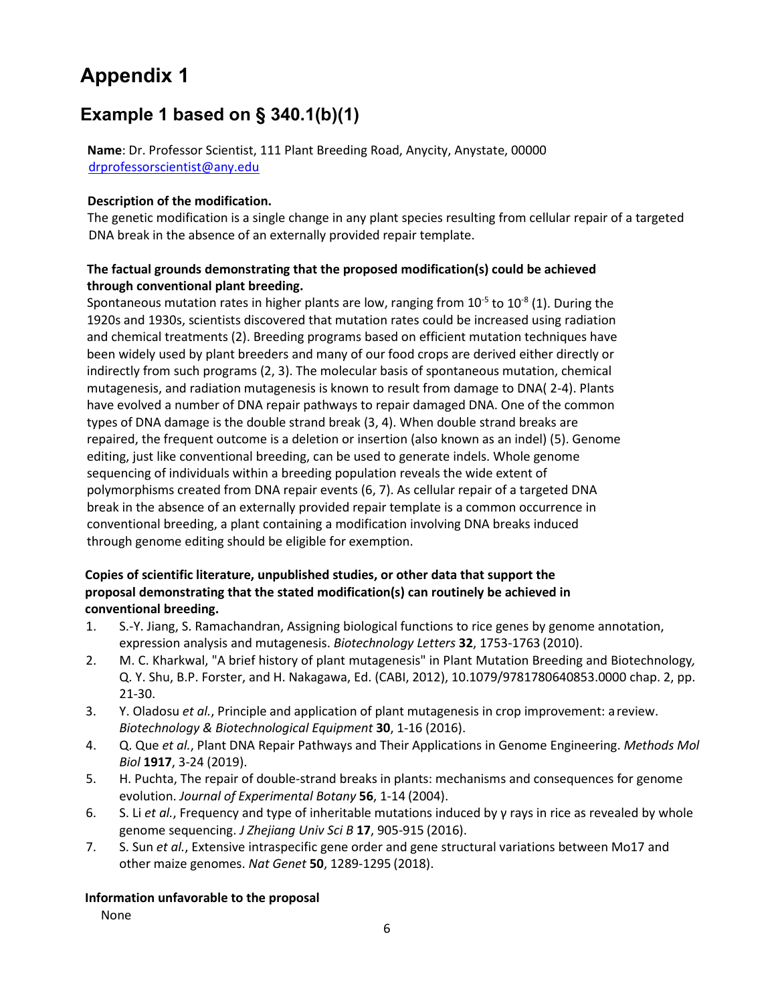## <span id="page-5-0"></span>**Appendix 1**

## <span id="page-5-1"></span>**Example 1 based on § 340.1(b)(1)**

**Name**: Dr. Professor Scientist, 111 Plant Breeding Road, Anycity, Anystate, 00000 [drprofessorscientist@any.edu](mailto:drprofessorscientist@any.edu)

#### **Description of the modification.**

The genetic modification is a single change in any plant species resulting from cellular repair of a targeted DNA break in the absence of an externally provided repair template.

#### **The factual grounds demonstrating that the proposed modification(s) could be achieved through conventional plant breeding.**

Spontaneous mutation rates in higher plants are low, ranging from  $10^{-5}$  to  $10^{-8}$  [\(1\)](#page-5-2). During the 1920s and 1930s, scientists discovered that mutation rates could be increased using radiation and chemical treatments [\(2\)](#page-5-3). Breeding programs based on efficient mutation techniques have been widely used by plant breeders and many of our food crops are derived either directly or indirectly from such programs [\(2,](#page-5-3) [3\)](#page-5-4). The molecular basis of spontaneous mutation, chemical mutagenesis, and radiation mutagenesis is known to result from damage to DNA( [2-4\)](#page-5-3). Plants have evolved a number of DNA repair pathways to repair damaged DNA. One of the common types of DNA damage is the double strand break [\(3,](#page-5-4) [4\)](#page-5-5). When double strand breaks are repaired, the frequent outcome is a deletion or insertion (also known as an indel) [\(5\)](#page-5-6). Genome editing, just like conventional breeding, can be used to generate indels. Whole genome sequencing of individuals within a breeding population reveals the wide extent of polymorphisms created from DNA repair events [\(6,](#page-5-7) [7\)](#page-5-8). As cellular repair of a targeted DNA break in the absence of an externally provided repair template is a common occurrence in conventional breeding, a plant containing a modification involving DNA breaks induced through genome editing should be eligible for exemption.

#### **Copies of scientific literature, unpublished studies, or other data that support the proposal demonstrating that the stated modification(s) can routinely be achieved in conventional breeding.**

- <span id="page-5-2"></span>1. S.-Y. Jiang, S. Ramachandran, Assigning biological functions to rice genes by genome annotation, expression analysis and mutagenesis. *Biotechnology Letters* **32**, 1753-1763 (2010).
- <span id="page-5-3"></span>2. M. C. Kharkwal, "A brief history of plant mutagenesis" in Plant Mutation Breeding and Biotechnology*,* Q. Y. Shu, B.P. Forster, and H. Nakagawa, Ed. (CABI, 2012), 10.1079/9781780640853.0000 chap. 2, pp. 21-30.
- <span id="page-5-4"></span>3. Y. Oladosu *et al.*, Principle and application of plant mutagenesis in crop improvement: a review. *Biotechnology & Biotechnological Equipment* **30**, 1-16 (2016).
- <span id="page-5-5"></span>4. Q. Que *et al.*, Plant DNA Repair Pathways and Their Applications in Genome Engineering. *Methods Mol Biol* **1917**, 3-24 (2019).
- <span id="page-5-7"></span><span id="page-5-6"></span>5. H. Puchta, The repair of double-strand breaks in plants: mechanisms and consequences for genome evolution. *Journal of Experimental Botany* **56**, 1-14 (2004).
- 6. S. Li *et al.*, Frequency and type of inheritable mutations induced by γ rays in rice as revealed by whole genome sequencing. *J Zhejiang Univ Sci B* **17**, 905-915 (2016).
- <span id="page-5-8"></span>7. S. Sun *et al.*, Extensive intraspecific gene order and gene structural variations between Mo17 and other maize genomes. *Nat Genet* **50**, 1289-1295 (2018).

#### **Information unfavorable to the proposal**

None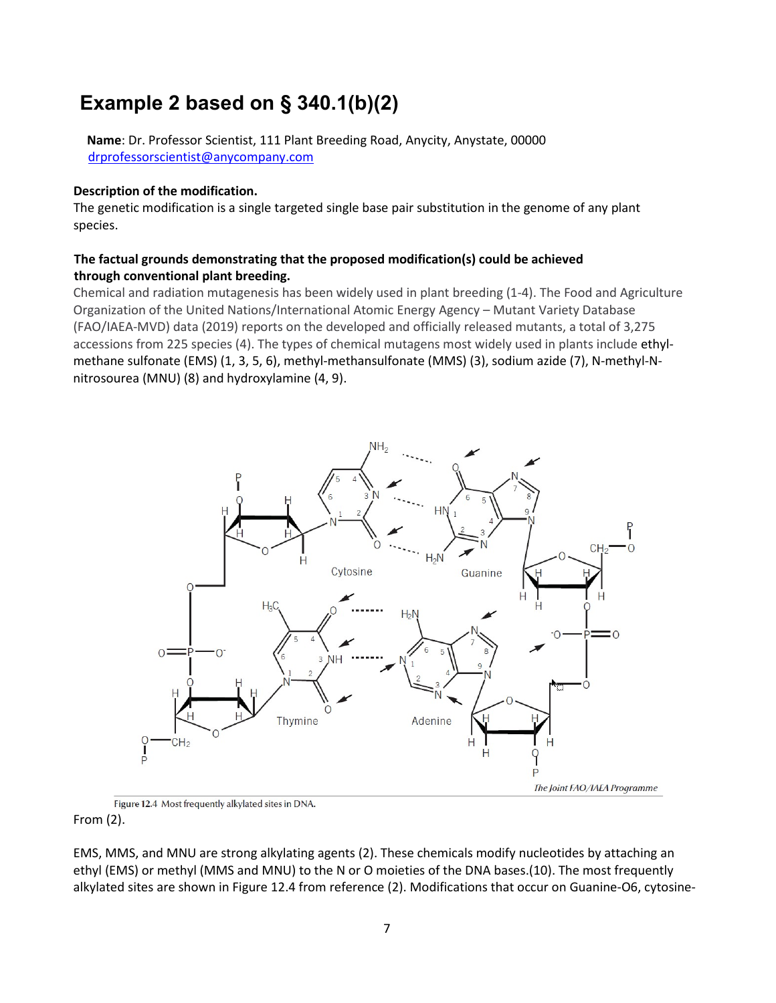## <span id="page-6-0"></span>**Example 2 based on § 340.1(b)(2)**

**Name**: Dr. Professor Scientist, 111 Plant Breeding Road, Anycity, Anystate, 00000 [drprofessorscientist@anycompany.com](mailto:drprofessorscientist@anycompany.com)

#### **Description of the modification.**

The genetic modification is a single targeted single base pair substitution in the genome of any plant species.

#### **The factual grounds demonstrating that the proposed modification(s) could be achieved through conventional plant breeding.**

Chemical and radiation mutagenesis has been widely used in plant breeding [\(1-4\)](#page-8-0). The Food and Agriculture Organization of the United Nations/International Atomic Energy Agency – Mutant Variety Database (FAO/IAEA-MVD) data (2019) reports on the developed and officially released mutants, a total of 3,275 accessions from 225 species [\(4\)](#page-8-1). The types of chemical mutagens most widely used in plants include ethylmethane sulfonate (EMS) [\(1,](#page-8-0) [3,](#page-8-2) [5,](#page-8-3) [6\)](#page-8-4), methyl-methansulfonate (MMS) [\(3\)](#page-8-2), sodium azide [\(7\)](#page-8-5), N-methyl-Nnitrosourea (MNU) [\(8\)](#page-8-6) and hydroxylamine [\(4,](#page-8-1) [9\)](#page-9-0).



Figure 12.4 Most frequently alkylated sites in DNA. From (2).

EMS, MMS, and MNU are strong alkylating agents [\(2\)](#page-8-7). These chemicals modify nucleotides by attaching an ethyl (EMS) or methyl (MMS and MNU) to the N or O moieties of the DNA bases.[\(10\)](#page-9-1). The most frequently alkylated sites are shown in Figure 12.4 from reference [\(2\)](#page-8-7). Modifications that occur on Guanine-O6, cytosine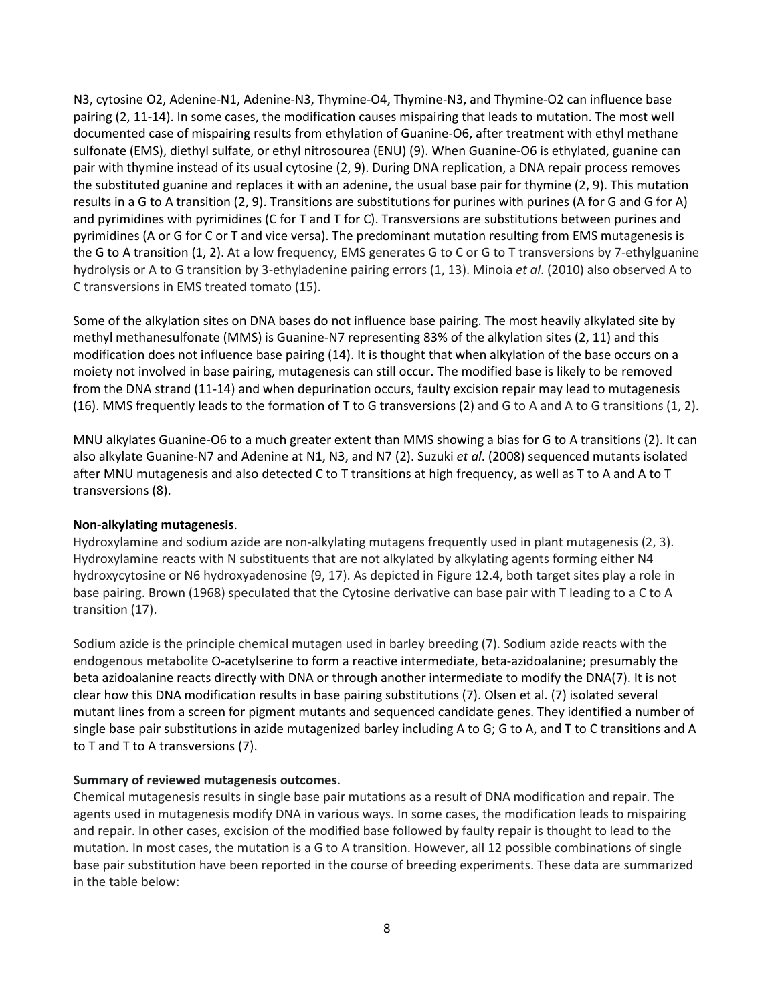N3, cytosine O2, Adenine-N1, Adenine-N3, Thymine-O4, Thymine-N3, and Thymine-O2 can influence base pairing [\(2,](#page-8-7) [11-14\)](#page-9-2). In some cases, the modification causes mispairing that leads to mutation. The most well documented case of mispairing results from ethylation of Guanine-O6, after treatment with ethyl methane sulfonate (EMS), diethyl sulfate, or ethyl nitrosourea (ENU) [\(9\)](#page-9-0). When Guanine-O6 is ethylated, guanine can pair with thymine instead of its usual cytosine [\(2,](#page-8-7) [9\)](#page-9-0). During DNA replication, a DNA repair process removes the substituted guanine and replaces it with an adenine, the usual base pair for thymine [\(2,](#page-8-7) [9\)](#page-9-0). This mutation results in a G to A transition [\(2,](#page-8-7) [9\)](#page-9-0). Transitions are substitutions for purines with purines (A for G and G for A) and pyrimidines with pyrimidines (C for T and T for C). Transversions are substitutions between purines and pyrimidines (A or G for C or T and vice versa). The predominant mutation resulting from EMS mutagenesis is the G to A transition [\(1,](#page-8-0) [2\)](#page-8-7). At a low frequency, EMS generates G to C or G to T transversions by 7-ethylguanine hydrolysis or A to G transition by 3-ethyladenine pairing errors [\(1,](#page-8-0) [13\)](#page-9-3). Minoia *et al*. (2010) also observed A to C transversions in EMS treated tomato [\(15\)](#page-9-4).

Some of the alkylation sites on DNA bases do not influence base pairing. The most heavily alkylated site by methyl methanesulfonate (MMS) is Guanine-N7 representing 83% of the alkylation sites [\(2,](#page-8-7) [11\)](#page-9-2) and this modification does not influence base pairing [\(14\)](#page-9-5). It is thought that when alkylation of the base occurs on a moiety not involved in base pairing, mutagenesis can still occur. The modified base is likely to be removed from the DNA strand [\(11-14\)](#page-9-2) and when depurination occurs, faulty excision repair may lead to mutagenesis [\(16\)](#page-9-6). MMS frequently leads to the formation of T to G transversions [\(2\)](#page-8-7) and G to A and A to G transitions [\(1,](#page-8-0) [2\)](#page-8-7).

MNU alkylates Guanine-O6 to a much greater extent than MMS showing a bias for G to A transitions [\(2\)](#page-8-7). It can also alkylate Guanine-N7 and Adenine at N1, N3, and N7 [\(2\).](#page-8-7) Suzuki *et al*. (2008) sequenced mutants isolated after MNU mutagenesis and also detected C to T transitions at high frequency, as well as T to A and A to T transversions [\(8\)](#page-8-6).

#### **Non-alkylating mutagenesis**.

Hydroxylamine and sodium azide are non-alkylating mutagens frequently used in plant mutagenesis [\(2,](#page-8-7) [3\).](#page-8-2) Hydroxylamine reacts with N substituents that are not alkylated by alkylating agents forming either N4 hydroxycytosine or N6 hydroxyadenosine [\(9,](#page-9-0) [17\)](#page-9-7). As depicted in Figure 12.4, both target sites play a role in base pairing. Brown (1968) speculated that the Cytosine derivative can base pair with T leading to a C to A transition [\(17\)](#page-9-7).

Sodium azide is the principle chemical mutagen used in barley breeding [\(7\)](#page-8-5). Sodium azide reacts with the endogenous metabolite O-acetylserine to form a reactive intermediate, beta-azidoalanine; presumably the beta azidoalanine reacts directly with DNA or through another intermediate to modify the DNA[\(7\)](#page-8-5). It is not clear how this DNA modification results in base pairing substitutions [\(7\)](#page-8-5). Olsen et al. [\(7\)](#page-8-5) isolated several mutant lines from a screen for pigment mutants and sequenced candidate genes. They identified a number of single base pair substitutions in azide mutagenized barley including A to G; G to A, and T to C transitions and A to T and T to A transversions [\(7\)](#page-8-5).

#### **Summary of reviewed mutagenesis outcomes**.

Chemical mutagenesis results in single base pair mutations as a result of DNA modification and repair. The agents used in mutagenesis modify DNA in various ways. In some cases, the modification leads to mispairing and repair. In other cases, excision of the modified base followed by faulty repair is thought to lead to the mutation. In most cases, the mutation is a G to A transition. However, all 12 possible combinations of single base pair substitution have been reported in the course of breeding experiments. These data are summarized in the table below: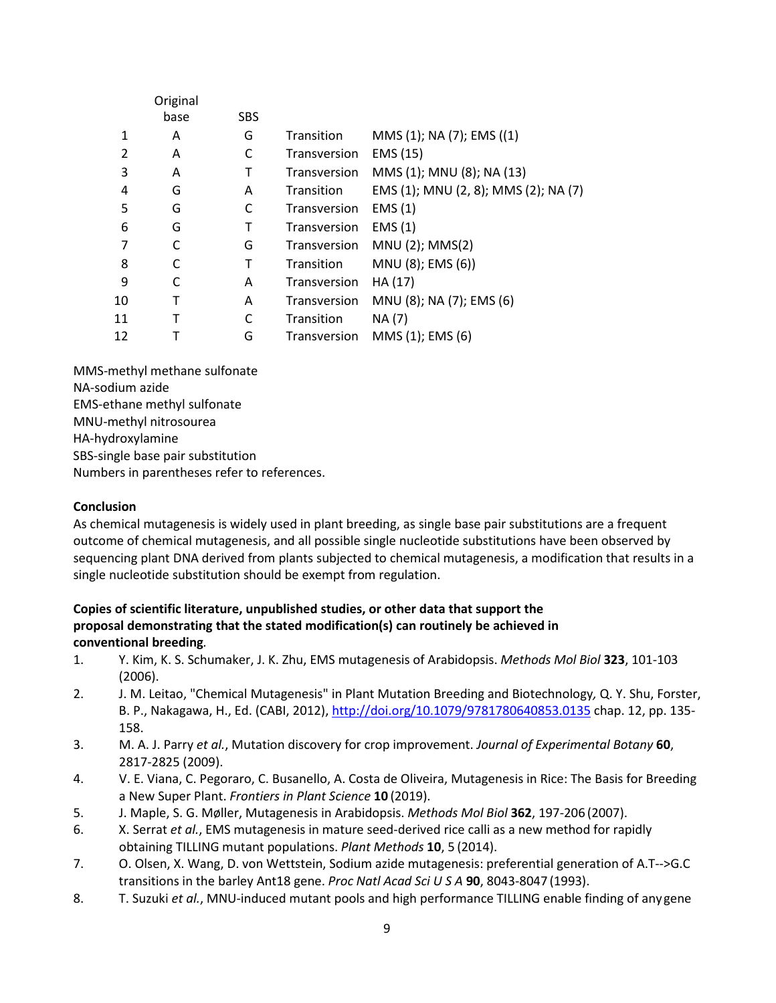|    | Original |            |              |                                      |
|----|----------|------------|--------------|--------------------------------------|
|    | base     | <b>SBS</b> |              |                                      |
| 1  | A        | G          | Transition   | MMS (1); NA (7); EMS ((1)            |
| 2  | A        | C          | Transversion | EMS (15)                             |
| 3  | Α        | т          | Transversion | MMS (1); MNU (8); NA (13)            |
| 4  | G        | Α          | Transition   | EMS (1); MNU (2, 8); MMS (2); NA (7) |
| 5  | G        | C          | Transversion | EMS(1)                               |
| 6  | G        | т          | Transversion | EMS(1)                               |
| 7  | C        | G          | Transversion | MNU (2); MMS(2)                      |
| 8  |          | т          | Transition   | MNU (8); EMS (6))                    |
| 9  | C        | Α          | Transversion | HA (17)                              |
| 10 |          | Α          | Transversion | MNU (8); NA (7); EMS (6)             |
| 11 |          | C          | Transition   | NA (7)                               |
| 12 |          | G          | Transversion | MMS (1); EMS (6)                     |

MMS-methyl methane sulfonate NA-sodium azide EMS-ethane methyl sulfonate MNU-methyl nitrosourea HA-hydroxylamine SBS-single base pair substitution Numbers in parentheses refer to references.

#### **Conclusion**

As chemical mutagenesis is widely used in plant breeding, as single base pair substitutions are a frequent outcome of chemical mutagenesis, and all possible single nucleotide substitutions have been observed by sequencing plant DNA derived from plants subjected to chemical mutagenesis, a modification that results in a single nucleotide substitution should be exempt from regulation.

#### **Copies of scientific literature, unpublished studies, or other data that support the proposal demonstrating that the stated modification(s) can routinely be achieved in conventional breeding***.*

- <span id="page-8-7"></span><span id="page-8-0"></span>1. Y. Kim, K. S. Schumaker, J. K. Zhu, EMS mutagenesis of Arabidopsis. *Methods Mol Biol* **323**, 101-103 (2006).
- 2. J. M. Leitao, "Chemical Mutagenesis" in Plant Mutation Breeding and Biotechnology*,* Q. Y. Shu, Forster, B. P., Nakagawa, H., Ed. (CABI, 2012), <http://doi.org/10.1079/9781780640853.0135> chap. 12, pp. 135-158.
- <span id="page-8-2"></span>3. M. A. J. Parry *et al.*, Mutation discovery for crop improvement. *Journal of Experimental Botany* **60**, 2817-2825 (2009).
- <span id="page-8-3"></span><span id="page-8-1"></span>4. V. E. Viana, C. Pegoraro, C. Busanello, A. Costa de Oliveira, Mutagenesis in Rice: The Basis for Breeding a New Super Plant. *Frontiers in Plant Science* **10** (2019).
- 5. J. Maple, S. G. Møller, Mutagenesis in Arabidopsis. *Methods Mol Biol* **362**, 197-206 (2007).
- <span id="page-8-4"></span>6. X. Serrat *et al.*, EMS mutagenesis in mature seed-derived rice calli as a new method for rapidly obtaining TILLING mutant populations. *Plant Methods* **10**, 5 (2014).
- <span id="page-8-5"></span>7. O. Olsen, X. Wang, D. von Wettstein, Sodium azide mutagenesis: preferential generation of A.T-->G.C transitions in the barley Ant18 gene. *Proc Natl Acad Sci U S A* **90**, 8043-8047 (1993).
- <span id="page-8-6"></span>8. T. Suzuki *et al.*, MNU-induced mutant pools and high performance TILLING enable finding of anygene